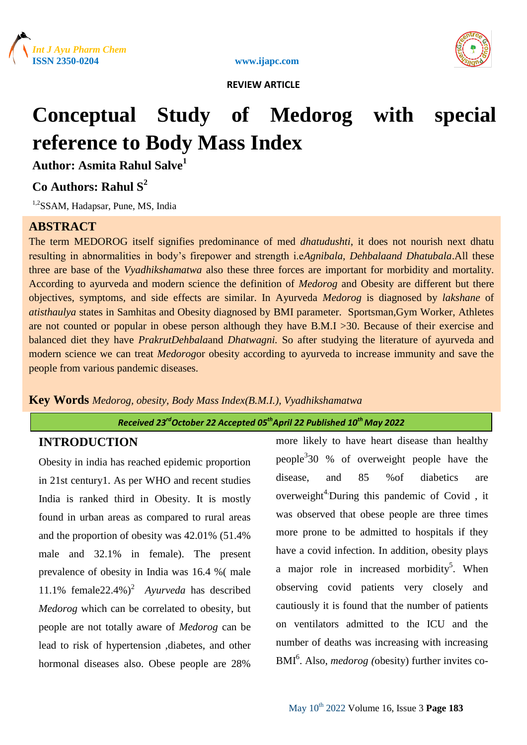





# **Conceptual Study of Medorog with special reference to Body Mass Index**

**Author: Asmita Rahul Salve<sup>1</sup>**

## **Co Authors: Rahul S<sup>2</sup>**

<sup>1,2</sup>SSAM, Hadapsar, Pune, MS, India

### **ABSTRACT**

The term MEDOROG itself signifies predominance of med *dhatudushti*, it does not nourish next dhatu resulting in abnormalities in body's firepower and strength i.e*Agnibala, Dehbalaand Dhatubala*.All these three are base of the *Vyadhikshamatwa* also these three forces are important for morbidity and mortality. According to ayurveda and modern science the definition of *Medorog* and Obesity are different but there objectives, symptoms, and side effects are similar. In Ayurveda *Medorog* is diagnosed by *lakshane* of *atisthaulya* states in Samhitas and Obesity diagnosed by BMI parameter. Sportsman,Gym Worker, Athletes are not counted or popular in obese person although they have B.M.I >30. Because of their exercise and balanced diet they have *PrakrutDehbala*and *Dhatwagni.* So after studying the literature of ayurveda and modern science we can treat *Medorog*or obesity according to ayurveda to increase immunity and save the people from various pandemic diseases.

#### **Key Words** *Medorog, obesity, Body Mass Index(B.M.I.), Vyadhikshamatwa*

#### *Received 23 rdOctober 22 Accepted 05thApril 22 Published 10th May 2022*

### **INTRODUCTION**

Obesity in india has reached epidemic proportion in 21st century1. As per WHO and recent studies India is ranked third in Obesity. It is mostly found in urban areas as compared to rural areas and the proportion of obesity was 42.01% (51.4% male and 32.1% in female). The present prevalence of obesity in India was 16.4 %( male 11.1% female22.4%)<sup>2</sup> Ayurveda has described *Medorog* which can be correlated to obesity*,* but people are not totally aware of *Medorog* can be lead to risk of hypertension ,diabetes, and other hormonal diseases also. Obese people are 28%

more likely to have heart disease than healthy people<sup>3</sup>30 % of overweight people have the disease, and 85 %of diabetics are overweight<sup>4</sup> During this pandemic of Covid, it was observed that obese people are three times more prone to be admitted to hospitals if they have a covid infection. In addition, obesity plays a major role in increased morbidity<sup>5</sup>. When observing covid patients very closely and cautiously it is found that the number of patients on ventilators admitted to the ICU and the number of deaths was increasing with increasing BMI<sup>6</sup>. Also, *medorog* (obesity) further invites co-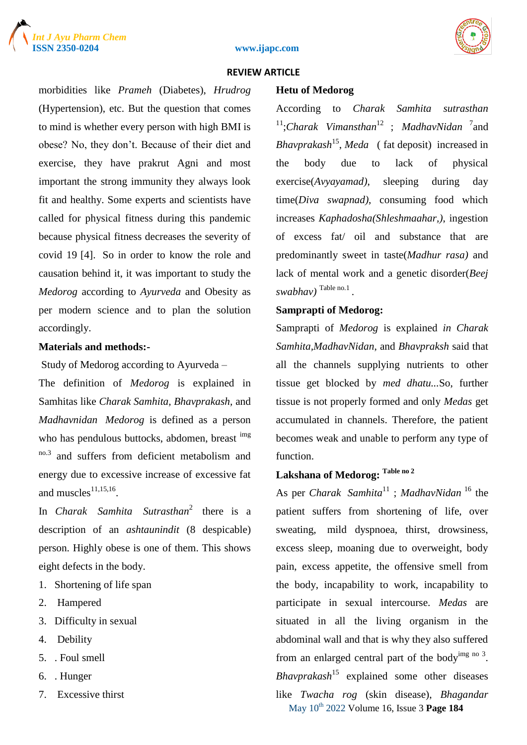



#### **ISSN 2350-0204 www.ijapc.com**

#### **REVIEW ARTICLE**

morbidities like *Prameh* (Diabetes), *Hrudrog*  (Hypertension), etc. But the question that comes to mind is whether every person with high BMI is obese? No, they don't. Because of their diet and exercise, they have prakrut Agni and most important the strong immunity they always look fit and healthy. Some experts and scientists have called for physical fitness during this pandemic because physical fitness decreases the severity of covid 19 [4]. So in order to know the role and causation behind it, it was important to study the *Medorog* according to *Ayurveda* and Obesity as per modern science and to plan the solution accordingly.

#### **Materials and methods:-**

Study of Medorog according to Ayurveda –

The definition of *Medorog* is explained in Samhitas like *Charak Samhita, Bhavprakash,* and *Madhavnidan Medorog* is defined as a person who has pendulous buttocks, abdomen, breast img no.3 and suffers from deficient metabolism and energy due to excessive increase of excessive fat and muscles $^{11,15,16}$ .

In *Charak Samhita Sutrasthan*<sup>2</sup> there is a description of an *ashtaunindit* (8 despicable) person. Highly obese is one of them. This shows eight defects in the body.

- 1. Shortening of life span
- 2. Hampered
- 3. Difficulty in sexual
- 4. Debility
- 5. . Foul smell
- 6. . Hunger
- 7. Excessive thirst

#### **Hetu of Medorog**

According to *Charak Samhita sutrasthan* <sup>11</sup>;Charak Vimansthan<sup>12</sup>; MadhavNidan <sup>7</sup> and *Bhavprakash*<sup>15</sup> , *Meda* ( fat deposit) increased in the body due to lack of physical exercise(*Avyayamad)*, sleeping during day time(*Diva swapnad)*, consuming food which increases *Kaphadosha(Shleshmaahar,)*, ingestion of excess fat/ oil and substance that are predominantly sweet in taste(*Madhur rasa)* and lack of mental work and a genetic disorder(*Beej swabhav)* Table no.1 .

#### **Samprapti of Medorog:**

Samprapti of *Medorog* is explained *in Charak Samhita,MadhavNidan*, and *Bhavpraksh* said that all the channels supplying nutrients to other tissue get blocked by *med dhatu...*So, further tissue is not properly formed and only *Medas* get accumulated in channels. Therefore, the patient becomes weak and unable to perform any type of function.

### **Lakshana of Medorog: Table no 2**

May 10th 2022 Volume 16, Issue 3 **Page 184** As per *Charak Samhita*<sup>11</sup> ; *MadhavNidan* <sup>16</sup> the patient suffers from shortening of life, over sweating, mild dyspnoea, thirst, drowsiness, excess sleep, moaning due to overweight, body pain, excess appetite, the offensive smell from the body, incapability to work, incapability to participate in sexual intercourse. *Medas* are situated in all the living organism in the abdominal wall and that is why they also suffered from an enlarged central part of the body $\frac{\text{img}}{\text{no }3}$ . *Bhavprakash*<sup>15</sup> explained some other diseases like *Twacha rog* (skin disease), *Bhagandar*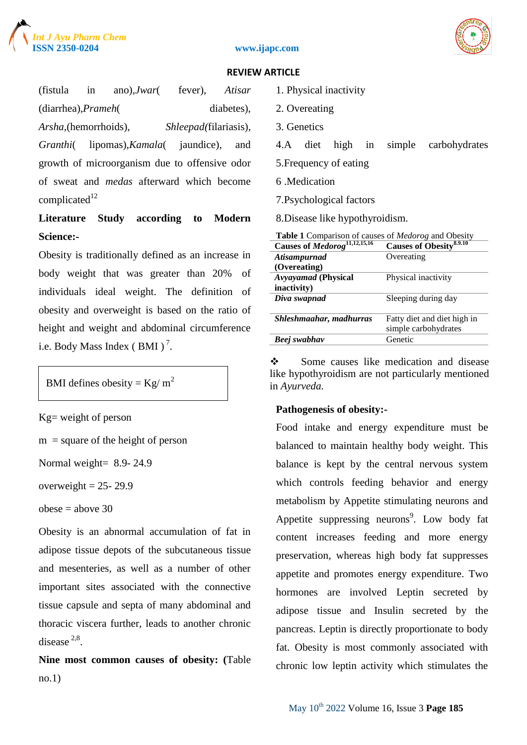



#### **ISSN 2350-0204 www.ijapc.com**

#### **REVIEW ARTICLE**

(fistula in ano),*Jwar*( fever), *Atisar*  (diarrhea),*Prameh*( diabetes), *Arsha,*(hemorrhoids), *Shleepad(*filariasis), *Granthi*( lipomas),*Kamala*( jaundice), and growth of microorganism due to offensive odor of sweat and *medas* afterward which become  $complicated<sup>12</sup>$ 

### **Literature Study according to Modern Science:-**

Obesity is traditionally defined as an increase in body weight that was greater than 20% of individuals ideal weight. The definition of obesity and overweight is based on the ratio of height and weight and abdominal circumference i.e. Body Mass Index (BMI)<sup>7</sup>.

### BMI defines obesity =  $Kg/m^2$

Kg= weight of person

 $m =$  square of the height of person

Normal weight= 8.9- 24.9

overweight  $= 25 - 29.9$ 

```
obese = above 30
```
Obesity is an abnormal accumulation of fat in adipose tissue depots of the subcutaneous tissue and mesenteries, as well as a number of other important sites associated with the connective tissue capsule and septa of many abdominal and thoracic viscera further, leads to another chronic disease  $2.8$ .

**Nine most common causes of obesity: (**Table no.1)

- 1. Physical inactivity
- 2. Overeating
- 3. Genetics
- 4.A diet high in simple carbohydrates
- 5.Frequency of eating
- 6 .Medication
- 7.Psychological factors

8.Disease like hypothyroidism.

| Table 1 Comparison of causes of Medorog and Obesity |                                     |
|-----------------------------------------------------|-------------------------------------|
| Causes of Medorog <sup>11,12,15,16</sup>            | Causes of Obesity <sup>8.9.10</sup> |
| Atisampurnad                                        | Overeating                          |
| (Overeating)                                        |                                     |
| <b>Avyayamad</b> (Physical                          | Physical inactivity                 |
| inactivity)                                         |                                     |
| Diva swapnad                                        | Sleeping during day                 |
|                                                     |                                     |
| Shleshmaahar, madhurras                             | Fatty diet and diet high in         |
|                                                     | simple carbohydrates                |
| Beej swabhav                                        | Genetic                             |
|                                                     |                                     |

Some causes like medication and disease like hypothyroidism are not particularly mentioned in *Ayurveda.*

#### **Pathogenesis of obesity:-**

Food intake and energy expenditure must be balanced to maintain healthy body weight. This balance is kept by the central nervous system which controls feeding behavior and energy metabolism by Appetite stimulating neurons and Appetite suppressing neurons<sup>9</sup>. Low body fat content increases feeding and more energy preservation, whereas high body fat suppresses appetite and promotes energy expenditure. Two hormones are involved Leptin secreted by adipose tissue and Insulin secreted by the pancreas. Leptin is directly proportionate to body fat. Obesity is most commonly associated with chronic low leptin activity which stimulates the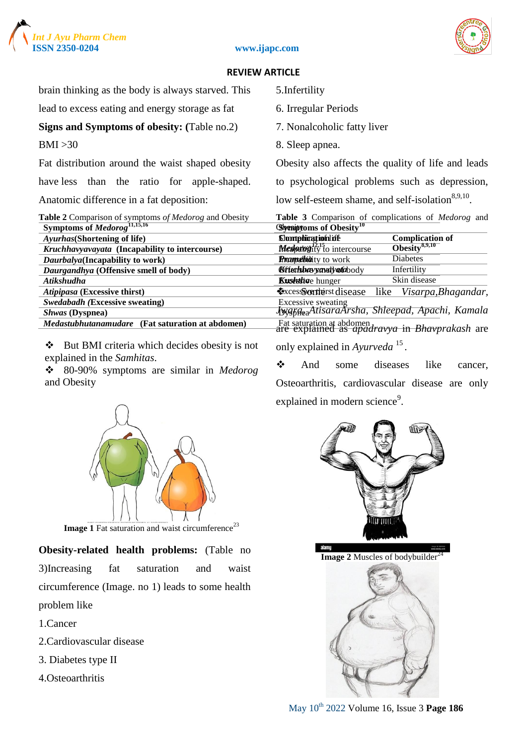



| brain thinking as the body is always starved. This                                               | 5. Infertility                                                                                 |
|--------------------------------------------------------------------------------------------------|------------------------------------------------------------------------------------------------|
| lead to excess eating and energy storage as fat                                                  | 6. Irregular Periods                                                                           |
| <b>Signs and Symptoms of obesity:</b> (Table no.2)                                               | 7. Nonalcoholic fatty liver                                                                    |
| BMI > 30                                                                                         | 8. Sleep apnea.                                                                                |
| Fat distribution around the waist shaped obesity                                                 | Obesity also affects the quality of life and leads                                             |
| have less than the ratio for apple-shaped.                                                       | to psychological problems such as depression,                                                  |
| Anatomic difference in a fat deposition:                                                         | low self-esteem shame, and self-isolation <sup>8,9,10</sup> .                                  |
| Table 2 Comparison of symptoms of Medorog and Obesity<br>Symptoms of Medorog <sup>11,15,16</sup> | Table 3 Comparison of complications of Medorog and<br><b>Symptoms of Obesity</b> <sup>10</sup> |
| Ayurhas (Shortening of life)                                                                     | <b>Slomphicationlife</b><br><b>Complication of</b>                                             |
| Kruchhavyavayata (Incapability to intercourse)                                                   | $\overline{\text{Obesity}}^{8,9,10}$<br><b>Medoatog</b> ity to intercourse                     |
| Daurbalya (Incapability to work)                                                                 | Diabetes<br><b>Proundbidity</b> to work                                                        |
| Daurgandhya (Offensive smell of body)                                                            | <b>Bifterluberyavelyatabody</b><br>Infertility                                                 |
| Atikshudha                                                                                       | Skin disease<br><b>Kusettia</b> e hunger                                                       |
| Atipipasa (Excessive thirst)                                                                     | <b>Excessorations disease</b><br>like<br>Visarpa, Bhagandar,                                   |
| <b>Swedabadh (Excessive sweating)</b>                                                            | <b>Excessive sweating</b>                                                                      |
| <b>Shwas</b> (Dyspnea)                                                                           | <b>Jyggge</b> AtisaraXrsha, Shleepad, Apachi, Kamala                                           |
| Medastubhutanamudare (Fat saturation at abdomen)                                                 | Fat saturation at abdomen<br>are explained as <i>apadravya</i> in <i>Bhavprakash</i> are       |
| ❖<br>But BMI criteria which decides obesity is not                                               | only explained in Avurveda <sup>15</sup>                                                       |

only explained in *Ayurveda* <sup>15</sup> *.*

 And some diseases like cancer, Osteoarthritis, cardiovascular disease are only explained in modern science<sup>9</sup>.



80-90% symptoms are similar in *Medorog*

**Image 1** Fat saturation and waist circumference<sup>23</sup>

**Obesity-related health problems:** (Table no 3)Increasing fat saturation and waist circumference (Image. no 1) leads to some health problem like

1.Cancer

2.Cardiovascular disease

explained in the *Samhitas*.

and Obesity

- 3. Diabetes type II
- 4.Osteoarthritis



**Image 2 Muscles of bodybuilder**<sup>2</sup>



May 10th 2022 Volume 16, Issue 3 **Page 186**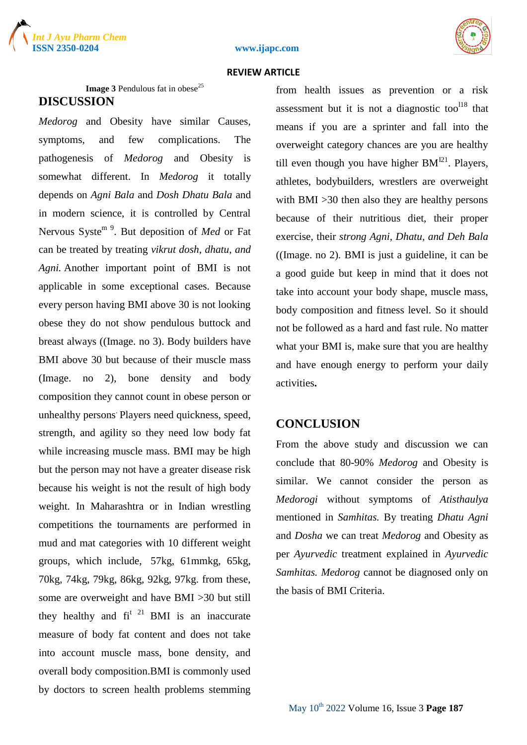



**Image 3 Pendulous fat in obese<sup>25</sup> DISCUSSION**

*Medorog* and Obesity have similar Causes, symptoms, and few complications. The pathogenesis of *Medorog* and Obesity is somewhat different. In *Medorog* it totally depends on *Agni Bala* and *Dosh Dhatu Bala* and in modern science, it is controlled by Central Nervous Syste<sup>m 9</sup>. But deposition of *Med* or Fat can be treated by treating *vikrut dosh, dhatu, and Agni.* Another important point of BMI is not applicable in some exceptional cases. Because every person having BMI above 30 is not looking obese they do not show pendulous buttock and breast always ((Image. no 3). Body builders have BMI above 30 but because of their muscle mass (Image. no 2), bone density and body composition they cannot count in obese person or unhealthy persons . Players need quickness, speed, strength, and agility so they need low body fat while increasing muscle mass. BMI may be high but the person may not have a greater disease risk because his weight is not the result of high body weight. In Maharashtra or in Indian wrestling competitions the tournaments are performed in mud and mat categories with 10 different weight groups, which include, 57kg, 61mmkg, 65kg, 70kg, 74kg, 79kg, 86kg, 92kg, 97kg. from these, some are overweight and have BMI >30 but still they healthy and  $fi^{t-21}$  BMI is an inaccurate measure of body fat content and does not take into account muscle mass, bone density, and overall body composition.BMI is commonly used by doctors to screen health problems stemming

from health issues as prevention or a risk assessment but it is not a diagnostic too $^{118}$  that means if you are a sprinter and fall into the overweight category chances are you are healthy till even though you have higher  $BM^{121}$ . Players, athletes, bodybuilders, wrestlers are overweight with BMI > 30 then also they are healthy persons because of their nutritious diet, their proper exercise, their *strong Agni, Dhatu, and Deh Bala* ((Image. no 2)*.* BMI is just a guideline, it can be a good guide but keep in mind that it does not take into account your body shape, muscle mass, body composition and fitness level. So it should not be followed as a hard and fast rule. No matter what your BMI is, make sure that you are healthy and have enough energy to perform your daily activities**.**

#### **CONCLUSION**

From the above study and discussion we can conclude that 80-90% *Medorog* and Obesity is similar. We cannot consider the person as *Medorogi* without symptoms of *Atisthaulya*  mentioned in *Samhitas.* By treating *Dhatu Agni* and *Dosha* we can treat *Medorog* and Obesity as per *Ayurvedic* treatment explained in *Ayurvedic Samhitas. Medorog* cannot be diagnosed only on the basis of BMI Criteria.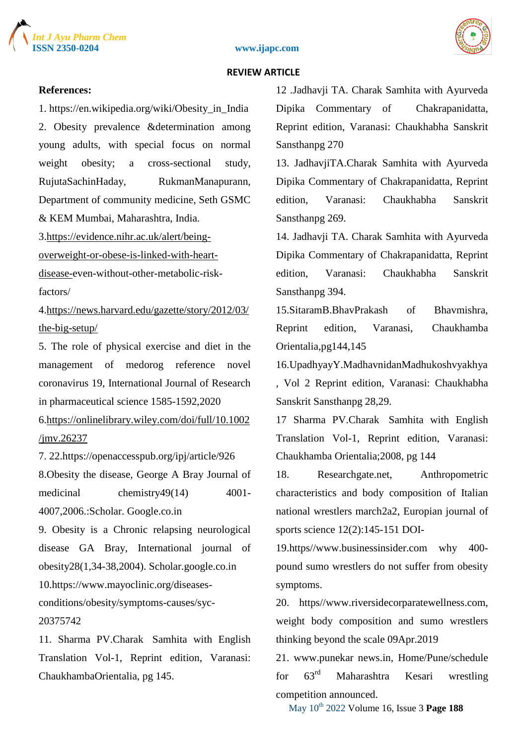





#### **References:**

1. https://en.wikipedia.org/wiki/Obesity\_in\_India 2. Obesity prevalence &determination among young adults, with special focus on normal weight obesity; a cross-sectional study, RujutaSachinHaday, RukmanManapurann, Department of community medicine, Seth GSMC & KEM Mumbai, Maharashtra, India.

3[.https://evidence.nihr.ac.uk/alert/being-](about:blank)

[overweight-or-obese-is-linked-with-heart-](about:blank)

[disease-e](about:blank)ven-without-other-metabolic-riskfactors/

4[.https://news.harvard.edu/gazette/story/2012/03/](about:blank) [the-big-setup/](about:blank)

5. The role of physical exercise and diet in the management of medorog reference novel coronavirus 19, International Journal of Research in pharmaceutical science 1585-1592,2020

6[.https://onlinelibrary.wiley.com/doi/full/10.1002](about:blank) [/jmv.26237](about:blank)

7. 22.https://openaccesspub.org/ipj/article/926

8.Obesity the disease, George A Bray Journal of medicinal chemistry49(14) 4001-4007,2006.:Scholar. Google.co.in

9. Obesity is a Chronic relapsing neurological disease GA Bray, International journal of obesity28(1,34-38,2004). Scholar.google.co.in

10.https://www.mayoclinic.org/diseases-

conditions/obesity/symptoms-causes/syc-20375742

11. Sharma PV.Charak Samhita with English Translation Vol-1, Reprint edition, Varanasi: ChaukhambaOrientalia, pg 145.

12 .Jadhavji TA. Charak Samhita with Ayurveda Dipika Commentary of Chakrapanidatta, Reprint edition, Varanasi: Chaukhabha Sanskrit Sansthanpg 270

13. JadhaviiTA.Charak Samhita with Ayurveda Dipika Commentary of Chakrapanidatta, Reprint edition, Varanasi: Chaukhabha Sanskrit Sansthanpg 269.

14. Jadhavji TA. Charak Samhita with Ayurveda Dipika Commentary of Chakrapanidatta, Reprint edition, Varanasi: Chaukhabha Sanskrit Sansthanpg 394.

15.SitaramB.BhavPrakash of Bhavmishra, Reprint edition, Varanasi, Chaukhamba Orientalia,pg144,145

16.UpadhyayY.MadhavnidanMadhukoshvyakhya , Vol 2 Reprint edition, Varanasi: Chaukhabha Sanskrit Sansthanpg 28,29.

17 Sharma PV.Charak Samhita with English Translation Vol-1, Reprint edition, Varanasi: Chaukhamba Orientalia;2008, pg 144

18. Researchgate.net, Anthropometric characteristics and body composition of Italian national wrestlers march2a2, Europian journal of sports science 12(2):145-151 DOI-

19.https//www.businessinsider.com why 400 pound sumo wrestlers do not suffer from obesity symptoms.

20. https//www.riversidecorparatewellness.com, weight body composition and sumo wrestlers thinking beyond the scale 09Apr.2019

21. www.punekar news.in, Home/Pune/schedule for 63rd Maharashtra Kesari wrestling competition announced.

May 10th 2022 Volume 16, Issue 3 **Page 188**